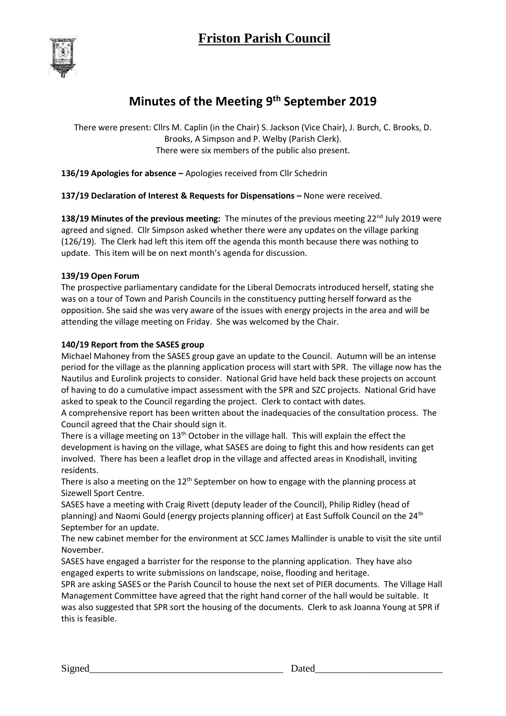

# **Minutes of the Meeting 9th September 2019**

There were present: Cllrs M. Caplin (in the Chair) S. Jackson (Vice Chair), J. Burch, C. Brooks, D. Brooks, A Simpson and P. Welby (Parish Clerk). There were six members of the public also present.

**136/19 Apologies for absence –** Apologies received from Cllr Schedrin

**137/19 Declaration of Interest & Requests for Dispensations –** None were received.

**138/19 Minutes of the previous meeting:** The minutes of the previous meeting 22<sup>nd</sup> July 2019 were agreed and signed. Cllr Simpson asked whether there were any updates on the village parking (126/19). The Clerk had left this item off the agenda this month because there was nothing to update. This item will be on next month's agenda for discussion.

# **139/19 Open Forum**

The prospective parliamentary candidate for the Liberal Democrats introduced herself, stating she was on a tour of Town and Parish Councils in the constituency putting herself forward as the opposition. She said she was very aware of the issues with energy projects in the area and will be attending the village meeting on Friday. She was welcomed by the Chair.

# **140/19 Report from the SASES group**

Michael Mahoney from the SASES group gave an update to the Council. Autumn will be an intense period for the village as the planning application process will start with SPR. The village now has the Nautilus and Eurolink projects to consider. National Grid have held back these projects on account of having to do a cumulative impact assessment with the SPR and SZC projects. National Grid have asked to speak to the Council regarding the project. Clerk to contact with dates.

A comprehensive report has been written about the inadequacies of the consultation process. The Council agreed that the Chair should sign it.

There is a village meeting on  $13<sup>th</sup>$  October in the village hall. This will explain the effect the development is having on the village, what SASES are doing to fight this and how residents can get involved. There has been a leaflet drop in the village and affected areas in Knodishall, inviting residents.

There is also a meeting on the  $12<sup>th</sup>$  September on how to engage with the planning process at Sizewell Sport Centre.

SASES have a meeting with Craig Rivett (deputy leader of the Council), Philip Ridley (head of planning) and Naomi Gould (energy projects planning officer) at East Suffolk Council on the 24<sup>th</sup> September for an update.

The new cabinet member for the environment at SCC James Mallinder is unable to visit the site until November.

SASES have engaged a barrister for the response to the planning application. They have also engaged experts to write submissions on landscape, noise, flooding and heritage.

SPR are asking SASES or the Parish Council to house the next set of PIER documents. The Village Hall Management Committee have agreed that the right hand corner of the hall would be suitable. It was also suggested that SPR sort the housing of the documents. Clerk to ask Joanna Young at SPR if this is feasible.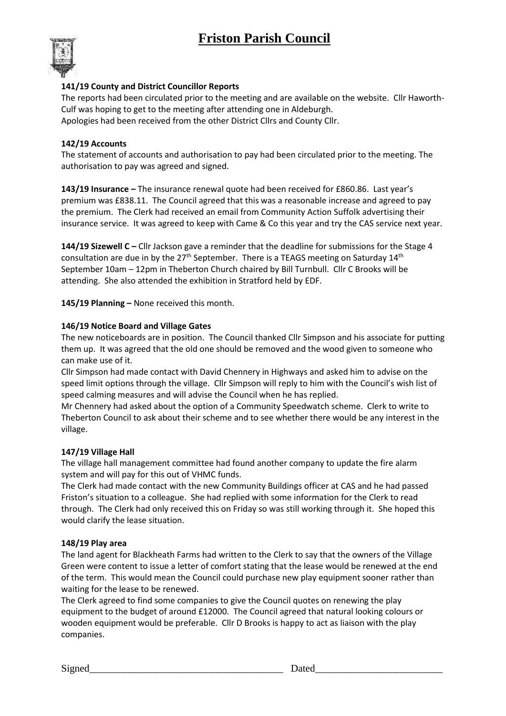# **Friston Parish Council**



## **141/19 County and District Councillor Reports**

The reports had been circulated prior to the meeting and are available on the website. Cllr Haworth-Culf was hoping to get to the meeting after attending one in Aldeburgh. Apologies had been received from the other District Cllrs and County Cllr.

## **142/19 Accounts**

The statement of accounts and authorisation to pay had been circulated prior to the meeting. The authorisation to pay was agreed and signed.

**143/19 Insurance –** The insurance renewal quote had been received for £860.86. Last year's premium was £838.11. The Council agreed that this was a reasonable increase and agreed to pay the premium. The Clerk had received an email from Community Action Suffolk advertising their insurance service. It was agreed to keep with Came & Co this year and try the CAS service next year.

**144/19 Sizewell C** – Cllr Jackson gave a reminder that the deadline for submissions for the Stage 4 consultation are due in by the  $27<sup>th</sup>$  September. There is a TEAGS meeting on Saturday  $14<sup>th</sup>$ September 10am – 12pm in Theberton Church chaired by Bill Turnbull. Cllr C Brooks will be attending. She also attended the exhibition in Stratford held by EDF.

**145/19 Planning –** None received this month.

## **146/19 Notice Board and Village Gates**

The new noticeboards are in position. The Council thanked Cllr Simpson and his associate for putting them up. It was agreed that the old one should be removed and the wood given to someone who can make use of it.

Cllr Simpson had made contact with David Chennery in Highways and asked him to advise on the speed limit options through the village. Cllr Simpson will reply to him with the Council's wish list of speed calming measures and will advise the Council when he has replied.

Mr Chennery had asked about the option of a Community Speedwatch scheme. Clerk to write to Theberton Council to ask about their scheme and to see whether there would be any interest in the village.

## **147/19 Village Hall**

The village hall management committee had found another company to update the fire alarm system and will pay for this out of VHMC funds.

The Clerk had made contact with the new Community Buildings officer at CAS and he had passed Friston's situation to a colleague. She had replied with some information for the Clerk to read through. The Clerk had only received this on Friday so was still working through it. She hoped this would clarify the lease situation.

#### **148/19 Play area**

The land agent for Blackheath Farms had written to the Clerk to say that the owners of the Village Green were content to issue a letter of comfort stating that the lease would be renewed at the end of the term. This would mean the Council could purchase new play equipment sooner rather than waiting for the lease to be renewed.

The Clerk agreed to find some companies to give the Council quotes on renewing the play equipment to the budget of around £12000. The Council agreed that natural looking colours or wooden equipment would be preferable. Cllr D Brooks is happy to act as liaison with the play companies.

Signed\_\_\_\_\_\_\_\_\_\_\_\_\_\_\_\_\_\_\_\_\_\_\_\_\_\_\_\_\_\_\_\_\_\_\_\_\_\_ Dated\_\_\_\_\_\_\_\_\_\_\_\_\_\_\_\_\_\_\_\_\_\_\_\_\_